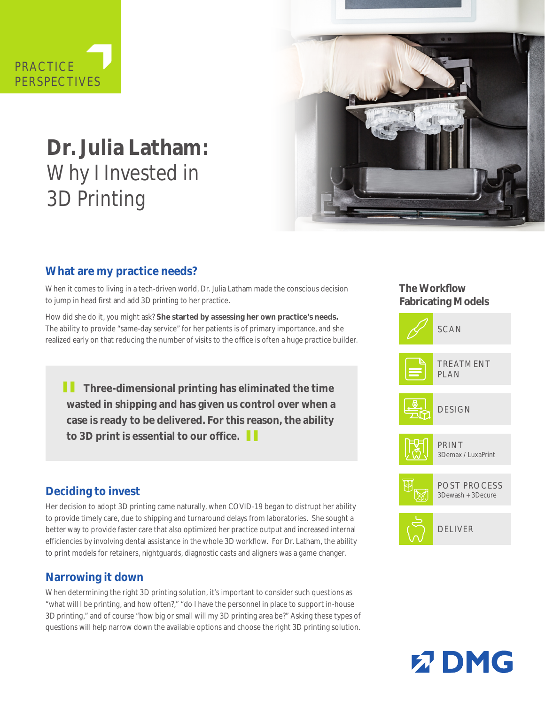



# **Dr. Julia Latham:**  Why I Invested in 3D Printing

# **What are my practice needs?**

When it comes to living in a tech-driven world, Dr. Julia Latham made the conscious decision to jump in head first and add 3D printing to her practice.

How did she do it, you might ask? **She started by assessing her own practice's needs.**  The ability to provide "same-day service" for her patients is of primary importance, and she realized early on that reducing the number of visits to the office is often a huge practice builder.

**1** Three-dimensional printing has eliminated the time<br>wasted in shipping and has given us control over when a **wasted in shipping and has given us control over when a case is ready to be delivered. For this reason, the ability to 3D print is essential to our office. "** 

#### **Deciding to invest**

Her decision to adopt 3D printing came naturally, when COVID-19 began to distrupt her ability to provide timely care, due to shipping and turnaround delays from laboratories. She sought a better way to provide faster care that also optimized her practice output and increased internal efficiencies by involving dental assistance in the whole 3D workflow. For Dr. Latham, the ability to print models for retainers, nightguards, diagnostic casts and aligners was a game changer.

#### **Narrowing it down**

When determining the right 3D printing solution, it's important to consider such questions as "what will I be printing, and how often?," "do I have the personnel in place to support in-house 3D printing," and of course "how big or small will my 3D printing area be?" Asking these types of questions will help narrow down the available options and choose the right 3D printing solution.

#### **The Workflow Fabricating Models**





POST PROCESS 3Dewash + 3Decure



DELIVER